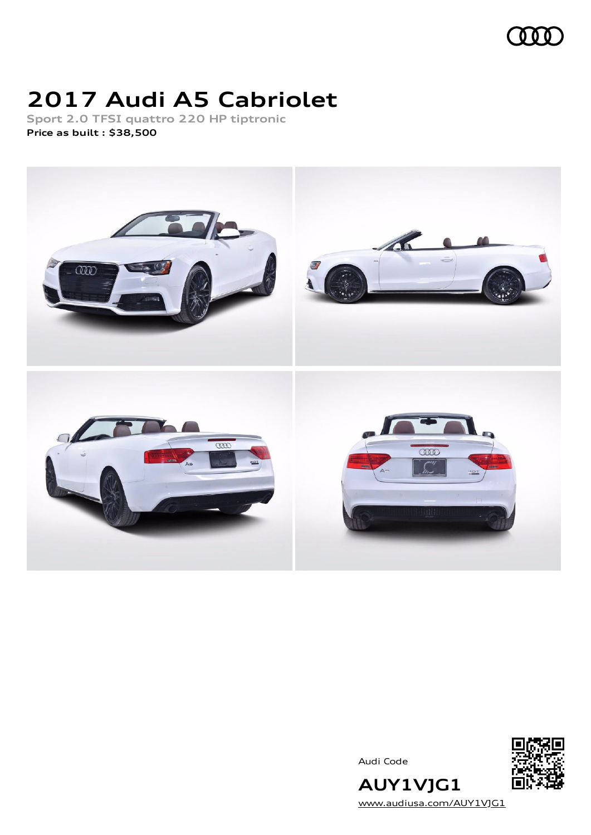

# **2017 Audi A5 Cabriolet**

**Sport 2.0 TFSI quattro 220 HP tiptronic Price as built [:](#page-9-0) \$38,500**



Audi Code



**AUY1VJG1** [www.audiusa.com/AUY1VJG1](https://www.audiusa.com/AUY1VJG1)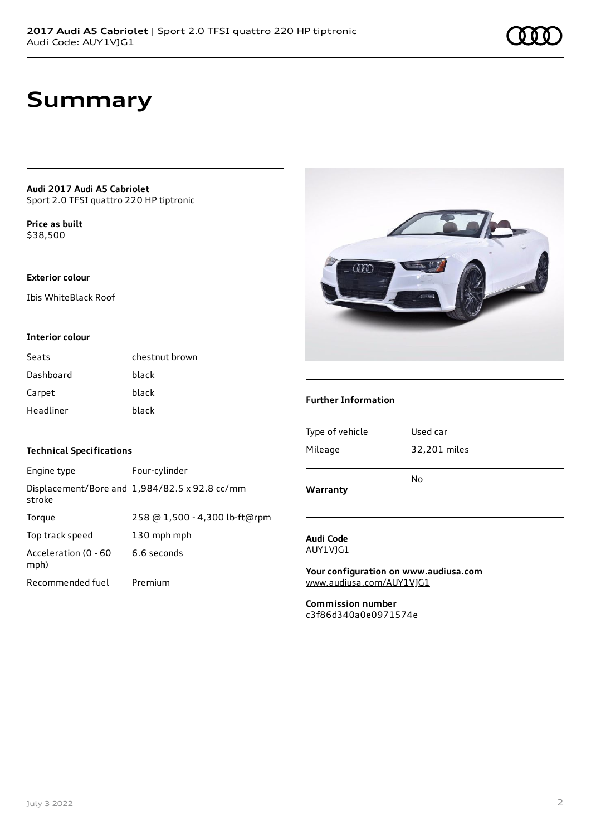**Audi 2017 Audi A5 Cabriolet** Sport 2.0 TFSI quattro 220 HP tiptronic

**Price as buil[t](#page-9-0)** \$38,500

#### **Exterior colour**

Ibis WhiteBlack Roof

#### **Interior colour**

| Seats     | chestnut brown |
|-----------|----------------|
| Dashboard | black          |
| Carpet    | black          |
| Headliner | black          |

#### **Technical Specifications**

| Engine type                  | Four-cylinder                                 |
|------------------------------|-----------------------------------------------|
| stroke                       | Displacement/Bore and 1,984/82.5 x 92.8 cc/mm |
| Torque                       | 258 @ 1,500 - 4,300 lb-ft@rpm                 |
| Top track speed              | 130 mph mph                                   |
| Acceleration (0 - 60<br>mph) | 6.6 seconds                                   |
| Recommended fuel             | Premium                                       |



#### **Further Information**

| Warranty        | No           |
|-----------------|--------------|
| Mileage         | 32,201 miles |
| Type of vehicle | Used car     |
|                 |              |

#### **Audi Code** AUY1VJG1

**Your configuration on www.audiusa.com** [www.audiusa.com/AUY1VJG1](https://www.audiusa.com/AUY1VJG1)

**Commission number** c3f86d340a0e0971574e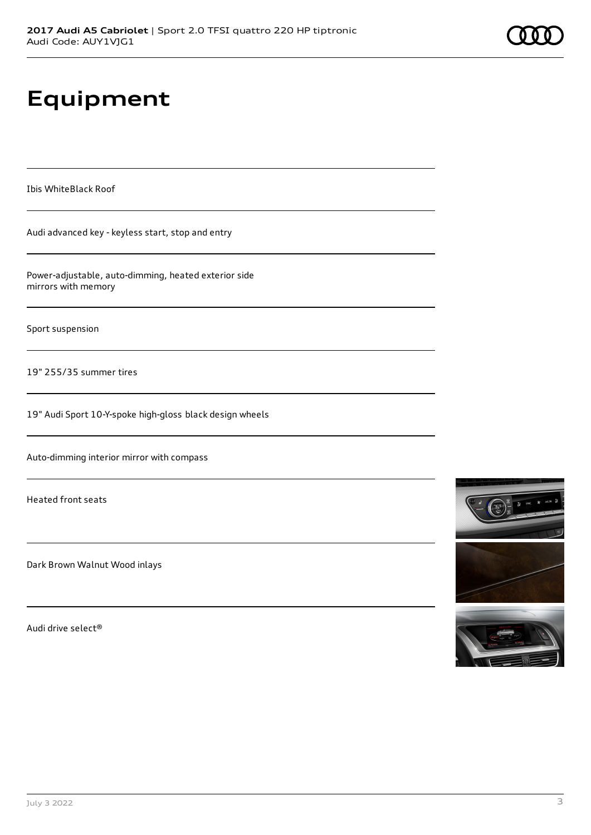# **Equipment**

Ibis WhiteBlack Roof

Audi advanced key - keyless start, stop and entry

Power-adjustable, auto-dimming, heated exterior side mirrors with memory

Sport suspension

19" 255/35 summer tires

19" Audi Sport 10-Y-spoke high-gloss black design wheels

Auto-dimming interior mirror with compass

Heated front seats

Dark Brown Walnut Wood inlays

Audi drive select®

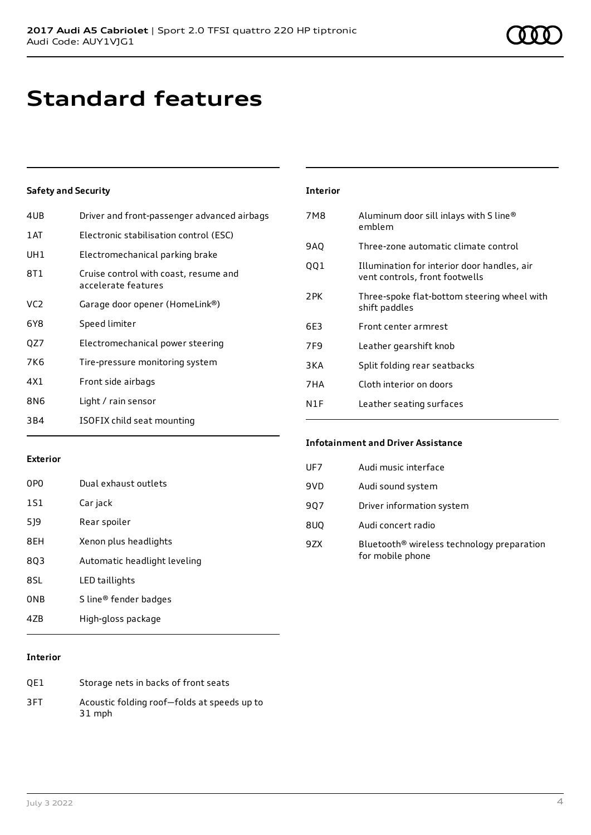# **Standard features**

### **Safety and Security**

| 4UB             | Driver and front-passenger advanced airbags                  |
|-----------------|--------------------------------------------------------------|
| 1 AT            | Electronic stabilisation control (ESC)                       |
| UH1             | Electromechanical parking brake                              |
| 8T1             | Cruise control with coast, resume and<br>accelerate features |
| VC <sub>2</sub> | Garage door opener (HomeLink®)                               |
| 6Y8             | Speed limiter                                                |
| QZ7             | Electromechanical power steering                             |
| 7K6             | Tire-pressure monitoring system                              |
| 4X1             | Front side airbags                                           |
| 8N6             | Light / rain sensor                                          |
| 3B4             | ISOFIX child seat mounting                                   |

| <b>Interior</b> |                                                                               |
|-----------------|-------------------------------------------------------------------------------|
| 7M8             | Aluminum door sill inlays with S line®<br>emblem                              |
| 9AQ             | Three-zone automatic climate control                                          |
| 001             | Illumination for interior door handles, air<br>vent controls, front footwells |
| 2PK             | Three-spoke flat-bottom steering wheel with<br>shift paddles                  |
| 6E3             | Front center armrest                                                          |
| 7F <sub>9</sub> | Leather gearshift knob                                                        |
| 3KA             | Split folding rear seatbacks                                                  |
| 7HA             | Cloth interior on doors                                                       |
| N1F             | Leather seating surfaces                                                      |

#### **Exterior**

| 0PO             | Dual exhaust outlets         |
|-----------------|------------------------------|
| 1S1             | Car jack                     |
| 519             | Rear spoiler                 |
| 8EH             | Xenon plus headlights        |
| 803             | Automatic headlight leveling |
| 8SL             | LED taillights               |
| 0 <sub>NB</sub> | S line® fender badges        |
| 47R             | High-gloss package           |

## **Infotainment and Driver Assistance**  $U\Gamma$ 7  $\Lambda$ udi music interface

| UF Z | Audi music interface                                                       |
|------|----------------------------------------------------------------------------|
| 9VD  | Audi sound system                                                          |
| 907  | Driver information system                                                  |
| 8UQ  | Audi concert radio                                                         |
| 9ZX  | Bluetooth <sup>®</sup> wireless technology preparation<br>for mobile phone |

#### **Interior**

| OE1 | Storage nets in backs of front seats                  |
|-----|-------------------------------------------------------|
| 3FT | Acoustic folding roof-folds at speeds up to<br>31 mph |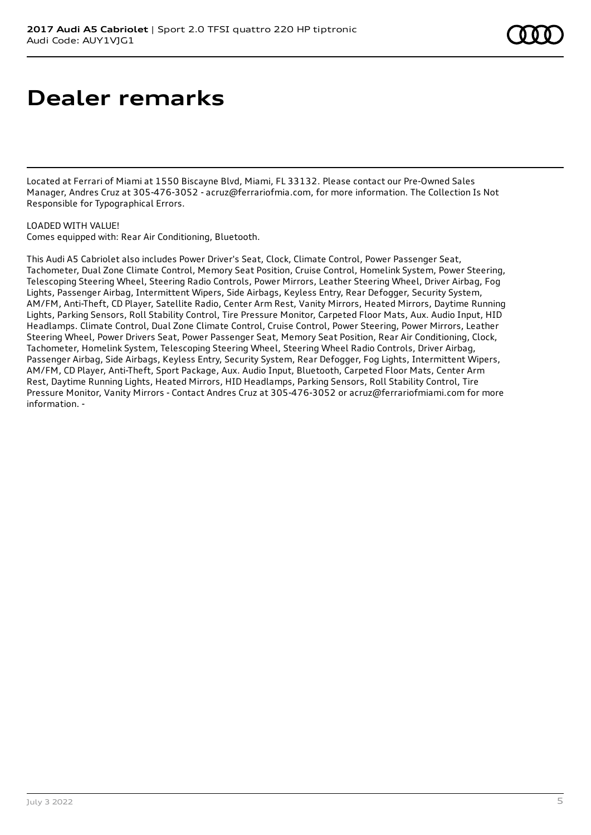## **Dealer remarks**

Located at Ferrari of Miami at 1550 Biscayne Blvd, Miami, FL 33132. Please contact our Pre-Owned Sales Manager, Andres Cruz at 305-476-3052 - acruz@ferrariofmia.com, for more information. The Collection Is Not Responsible for Typographical Errors.

#### LOADED WITH VALUE!

Comes equipped with: Rear Air Conditioning, Bluetooth.

This Audi A5 Cabriolet also includes Power Driver's Seat, Clock, Climate Control, Power Passenger Seat, Tachometer, Dual Zone Climate Control, Memory Seat Position, Cruise Control, Homelink System, Power Steering, Telescoping Steering Wheel, Steering Radio Controls, Power Mirrors, Leather Steering Wheel, Driver Airbag, Fog Lights, Passenger Airbag, Intermittent Wipers, Side Airbags, Keyless Entry, Rear Defogger, Security System, AM/FM, Anti-Theft, CD Player, Satellite Radio, Center Arm Rest, Vanity Mirrors, Heated Mirrors, Daytime Running Lights, Parking Sensors, Roll Stability Control, Tire Pressure Monitor, Carpeted Floor Mats, Aux. Audio Input, HID Headlamps. Climate Control, Dual Zone Climate Control, Cruise Control, Power Steering, Power Mirrors, Leather Steering Wheel, Power Drivers Seat, Power Passenger Seat, Memory Seat Position, Rear Air Conditioning, Clock, Tachometer, Homelink System, Telescoping Steering Wheel, Steering Wheel Radio Controls, Driver Airbag, Passenger Airbag, Side Airbags, Keyless Entry, Security System, Rear Defogger, Fog Lights, Intermittent Wipers, AM/FM, CD Player, Anti-Theft, Sport Package, Aux. Audio Input, Bluetooth, Carpeted Floor Mats, Center Arm Rest, Daytime Running Lights, Heated Mirrors, HID Headlamps, Parking Sensors, Roll Stability Control, Tire Pressure Monitor, Vanity Mirrors - Contact Andres Cruz at 305-476-3052 or acruz@ferrariofmiami.com for more information. -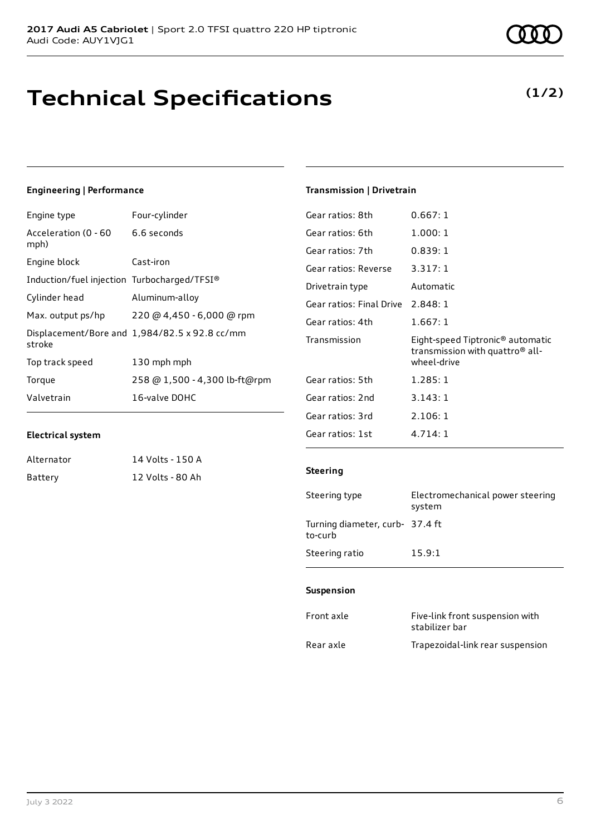### **Engineering | Performance**

| Engine type                                 | Four-cylinder                                 |
|---------------------------------------------|-----------------------------------------------|
| Acceleration (0 - 60<br>mph)                | 6.6 seconds                                   |
| Engine block                                | Cast-iron                                     |
| Induction/fuel injection Turbocharged/TFSI® |                                               |
| Cylinder head                               | Aluminum-alloy                                |
| Max. output ps/hp                           | 220 @ 4,450 - 6,000 @ rpm                     |
| stroke                                      | Displacement/Bore and 1,984/82.5 x 92.8 cc/mm |
| Top track speed                             | 130 mph mph                                   |
| Torque                                      | 258 @ 1,500 - 4,300 lb-ft@rpm                 |
| Valvetrain                                  | 16-valve DOHC                                 |

#### **Electrical system**

| Alternator | 14 Volts - 150 A |
|------------|------------------|
| Battery    | 12 Volts - 80 Ah |

#### **Transmission | Drivetrain**

| Gear ratios: 8th         | 0.667:1                                                                                                    |
|--------------------------|------------------------------------------------------------------------------------------------------------|
| Gear ratios: 6th         | 1.000:1                                                                                                    |
| Gear ratios: 7th         | 0.839:1                                                                                                    |
| Gear ratios: Reverse     | 3.317:1                                                                                                    |
| Drivetrain type          | Automatic                                                                                                  |
| Gear ratios: Final Drive | 2.848:1                                                                                                    |
| Gear ratios: 4th         | 1.667:1                                                                                                    |
| Transmission             | Eight-speed Tiptronic <sup>®</sup> automatic<br>transmission with quattro <sup>®</sup> all-<br>wheel-drive |
| Gear ratios: 5th         | 1.285:1                                                                                                    |
| Gear ratios: 2nd         | 3.143:1                                                                                                    |
| Gear ratios: 3rd         | 2.106:1                                                                                                    |
| Gear ratios: 1st         | 4.714:1                                                                                                    |

#### **Steering**

| Steering type                             | Electromechanical power steering<br>system |
|-------------------------------------------|--------------------------------------------|
| Turning diameter, curb-37.4 ft<br>to-curb |                                            |
| Steering ratio                            | 15.9:1                                     |

#### **Suspension**

| Front axle | Five-link front suspension with<br>stabilizer bar |
|------------|---------------------------------------------------|
| Rear axle  | Trapezoidal-link rear suspension                  |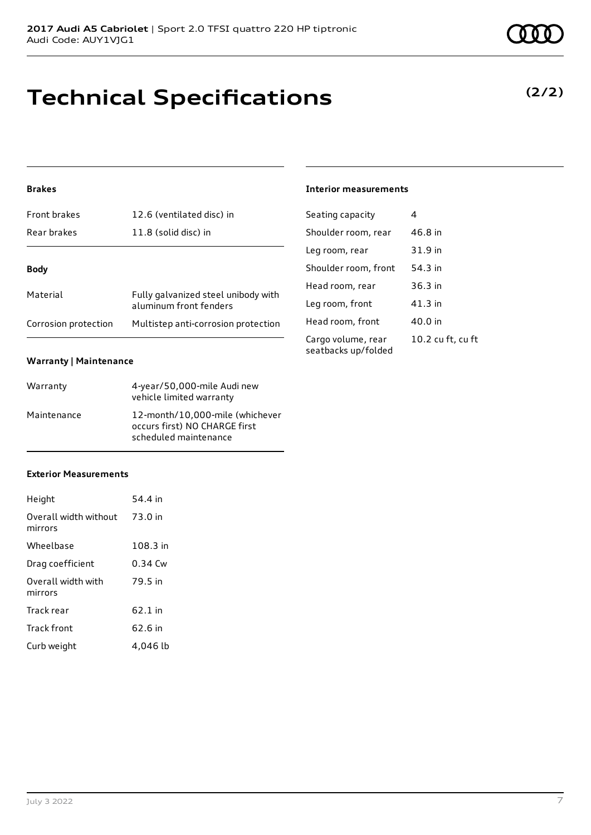# **Technical Specifications**

## **Brakes**

| <b>Front brakes</b>  | 12.6 (ventilated disc) in                                     |  |
|----------------------|---------------------------------------------------------------|--|
| Rear brakes          | 11.8 (solid disc) in                                          |  |
| <b>Body</b>          |                                                               |  |
| Material             | Fully galvanized steel unibody with<br>aluminum front fenders |  |
| Corrosion protection | Multistep anti-corrosion protection                           |  |

### **Warranty | Maintenance**

| Warranty    | 4-year/50,000-mile Audi new<br>vehicle limited warranty                                   |
|-------------|-------------------------------------------------------------------------------------------|
| Maintenance | 12-month/10,000-mile (whichever<br>occurs first) NO CHARGE first<br>scheduled maintenance |

## **Exterior Measurements**

| Height                           | 54.4 in   |
|----------------------------------|-----------|
| Overall width without<br>mirrors | 73.0 in   |
| Wheelbase                        | 108.3 in  |
| Drag coefficient                 | $0.34$ Cw |
| Overall width with<br>mirrors    | 79.5 in   |
| Track rear                       | $62.1$ in |
| Track front                      | 62.6 in   |
| Curb weight                      | 4.046 lb  |

## **Interior measurements**

| Seating capacity                          | 4                 |
|-------------------------------------------|-------------------|
| Shoulder room, rear                       | 46.8 in           |
| Leg room, rear                            | 31.9 in           |
| Shoulder room, front                      | 54.3 in           |
| Head room, rear                           | $36.3$ in         |
| Leg room, front                           | $41.3$ in         |
| Head room, front                          | 40.0 in           |
| Cargo volume, rear<br>seatbacks up/folded | 10.2 cu ft, cu ft |

**(2/2)**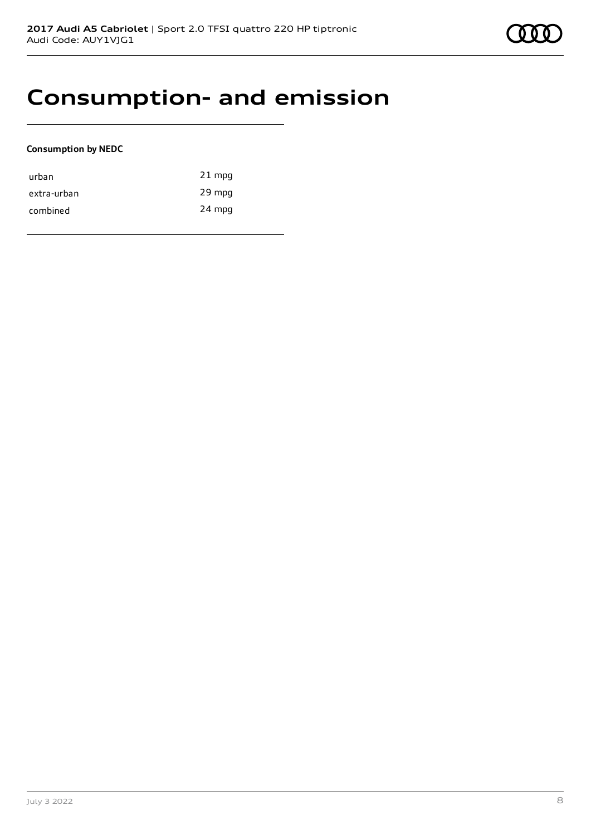## **Consumption- and emission**

#### **Consumption by NEDC**

| urban       | $21$ mpg |
|-------------|----------|
| extra-urban | 29 mpg   |
| combined    | 24 mpg   |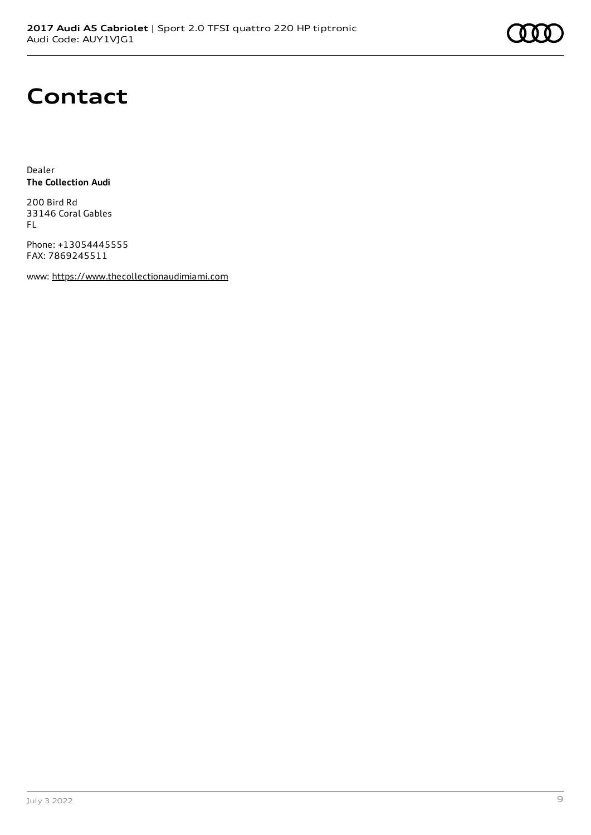

# **Contact**

Dealer **The Collection Audi**

200 Bird Rd 33146 Coral Gables FL

Phone: +13054445555 FAX: 7869245511

www: [https://www.thecollectionaudimiami.com](https://www.thecollectionaudimiami.com/)